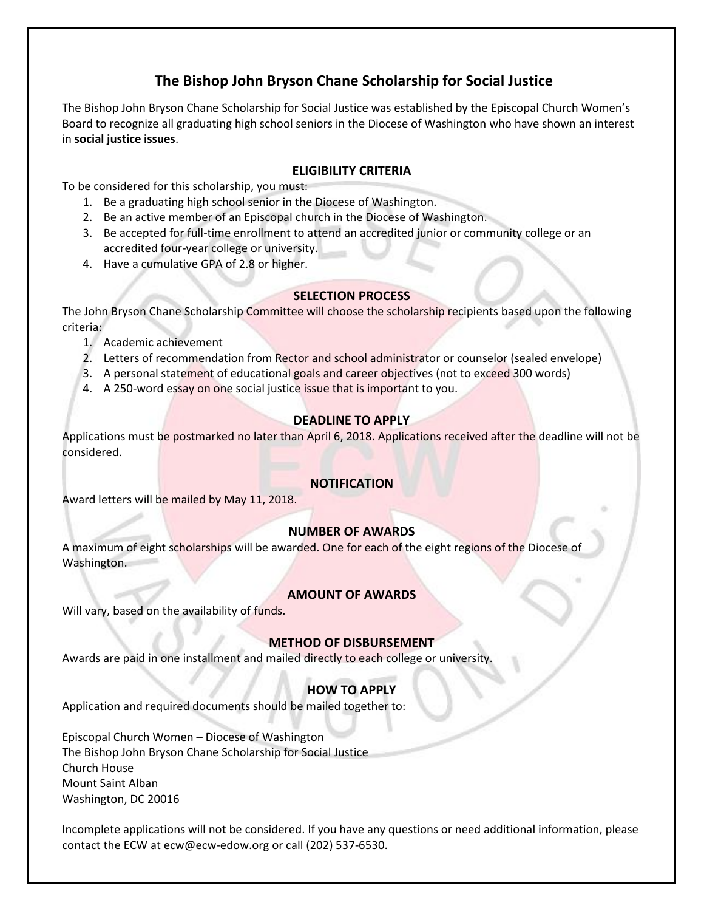## **The Bishop John Bryson Chane Scholarship for Social Justice**

The Bishop John Bryson Chane Scholarship for Social Justice was established by the Episcopal Church Women's Board to recognize all graduating high school seniors in the Diocese of Washington who have shown an interest in **social justice issues**.

#### **ELIGIBILITY CRITERIA**

To be considered for this scholarship, you must:

- 1. Be a graduating high school senior in the Diocese of Washington.
- 2. Be an active member of an Episcopal church in the Diocese of Washington.
- 3. Be accepted for full-time enrollment to attend an accredited junior or community college or an accredited four-year college or university.
- 4. Have a cumulative GPA of 2.8 or higher.

#### **SELECTION PROCESS**

The John Bryson Chane Scholarship Committee will choose the scholarship recipients based upon the following criteria:

- 1. Academic achievement
- 2. Letters of recommendation from Rector and school administrator or counselor (sealed envelope)
- 3. A personal statement of educational goals and career objectives (not to exceed 300 words)
- 4. A 250-word essay on one social justice issue that is important to you.

#### **DEADLINE TO APPLY**

Applications must be postmarked no later than April 6, 2018. Applications received after the deadline will not be considered.

#### **NOTIFICATION**

Award letters will be mailed by May 11, 2018.

## **NUMBER OF AWARDS**

A maximum of eight scholarships will be awarded. One for each of the eight regions of the Diocese of Washington.

#### **AMOUNT OF AWARDS**

Will vary, based on the availability of funds.

#### **METHOD OF DISBURSEMENT**

Awards are paid in one installment and mailed directly to each college or university.

## **HOW TO APPLY**

Application and required documents should be mailed together to:

Episcopal Church Women – Diocese of Washington The Bishop John Bryson Chane Scholarship for Social Justice Church House Mount Saint Alban Washington, DC 20016

Incomplete applications will not be considered. If you have any questions or need additional information, please contact the ECW at ecw@ecw-edow.org or call (202) 537-6530.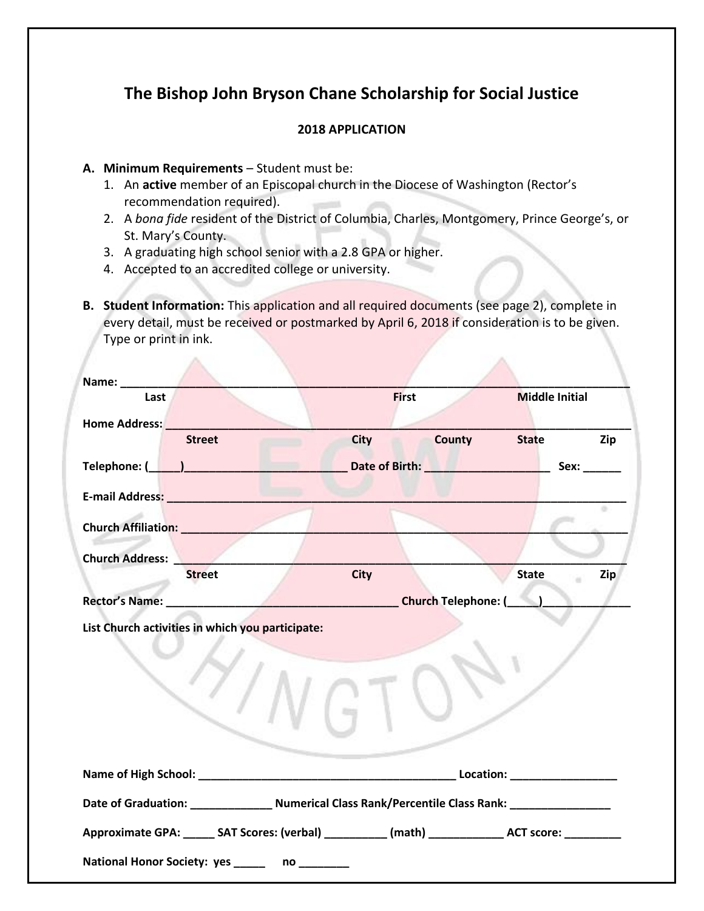# **The Bishop John Bryson Chane Scholarship for Social Justice**

## **2018 APPLICATION**

### **A. Minimum Requirements** – Student must be:

A

- 1. An **active** member of an Episcopal church in the Diocese of Washington (Rector's recommendation required).
- 2. A *bona fide* resident of the District of Columbia, Charles, Montgomery, Prince George's, or St. Mary's County.
- 3. A graduating high school senior with a 2.8 GPA or higher.
- 4. Accepted to an accredited college or university.
- **B. Student Information:** This application and all required documents (see page 2), complete in every detail, must be received or postmarked by April 6, 2018 if consideration is to be given. Type or print in ink.

A

| Name: _______                                                                                                                                                                                                                  |    |              |                                                                |                       |      |
|--------------------------------------------------------------------------------------------------------------------------------------------------------------------------------------------------------------------------------|----|--------------|----------------------------------------------------------------|-----------------------|------|
| Last                                                                                                                                                                                                                           |    | <b>First</b> |                                                                | <b>Middle Initial</b> |      |
| Home Address: North Management of the Second Street and Second Street and Second Street and Street and Street Assemblance and Street and Street and Street and Street and Street and Street and Street and Street and Street a |    |              |                                                                |                       |      |
| <b>Street</b>                                                                                                                                                                                                                  |    | <b>City</b>  | <b>County</b><br><b>Service</b>                                | <b>State</b>          | Zip  |
|                                                                                                                                                                                                                                |    |              | Date of Birth: <b>William Property Advisory Property</b>       |                       | Sex: |
| E-mail Address: National Address: National Address: National Address: National Address: National Address                                                                                                                       |    |              |                                                                |                       |      |
| Church Affiliation: __________                                                                                                                                                                                                 |    |              |                                                                |                       | ÷    |
|                                                                                                                                                                                                                                |    |              |                                                                |                       |      |
| <b>Church Address:</b><br><b>Street</b>                                                                                                                                                                                        |    | <b>City</b>  |                                                                | <b>State</b>          | Zip  |
|                                                                                                                                                                                                                                |    |              |                                                                |                       |      |
|                                                                                                                                                                                                                                |    |              | Church Telephone: (Church Telephone: (Church Telephone: (Chang |                       |      |
|                                                                                                                                                                                                                                |    |              |                                                                |                       |      |
|                                                                                                                                                                                                                                |    |              |                                                                |                       |      |
| Date of Graduation: ___________________ Numerical Class Rank/Percentile Class Rank: ________________                                                                                                                           |    |              |                                                                |                       |      |
| Approximate GPA: ______ SAT Scores: (verbal) ___________ (math) ______________ ACT score: _________                                                                                                                            |    |              |                                                                |                       |      |
| National Honor Society: yes _____                                                                                                                                                                                              | no |              |                                                                |                       |      |